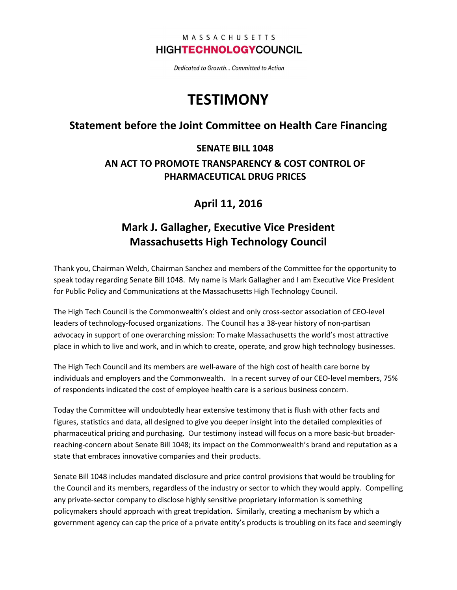#### MASSACHUSETTS **HIGHTECHNOLOGYCOUNCIL**

Dedicated to Growth... Committed to Action

# **TESTIMONY**

#### Statement before the Joint Committee on Health Care Financing

### SENATE BILL 1048 AN ACT TO PROMOTE TRANSPARENCY & COST CONTROL OF PHARMACEUTICAL DRUG PRICES

### April 11, 2016

## Mark J. Gallagher, Executive Vice President Massachusetts High Technology Council

Thank you, Chairman Welch, Chairman Sanchez and members of the Committee for the opportunity to speak today regarding Senate Bill 1048. My name is Mark Gallagher and I am Executive Vice President for Public Policy and Communications at the Massachusetts High Technology Council.

The High Tech Council is the Commonwealth's oldest and only cross-sector association of CEO-level leaders of technology-focused organizations. The Council has a 38-year history of non-partisan advocacy in support of one overarching mission: To make Massachusetts the world's most attractive place in which to live and work, and in which to create, operate, and grow high technology businesses.

The High Tech Council and its members are well-aware of the high cost of health care borne by individuals and employers and the Commonwealth. In a recent survey of our CEO-level members, 75% of respondents indicated the cost of employee health care is a serious business concern.

Today the Committee will undoubtedly hear extensive testimony that is flush with other facts and figures, statistics and data, all designed to give you deeper insight into the detailed complexities of pharmaceutical pricing and purchasing. Our testimony instead will focus on a more basic-but broaderreaching-concern about Senate Bill 1048; its impact on the Commonwealth's brand and reputation as a state that embraces innovative companies and their products.

Senate Bill 1048 includes mandated disclosure and price control provisions that would be troubling for the Council and its members, regardless of the industry or sector to which they would apply. Compelling any private-sector company to disclose highly sensitive proprietary information is something policymakers should approach with great trepidation. Similarly, creating a mechanism by which a government agency can cap the price of a private entity's products is troubling on its face and seemingly